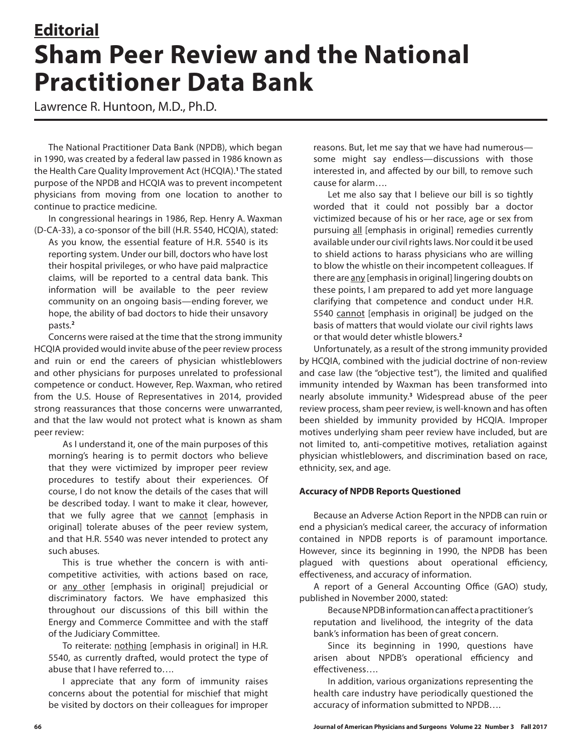# **Editorial Sham Peer Review and the National Practitioner Data Bank**

Lawrence R. Huntoon, M.D., Ph.D.

The National Practitioner Data Bank (NPDB), which began in 1990, was created by a federal law passed in 1986 known as the Health Care Quality Improvement Act (HCQIA).**<sup>1</sup>** The stated purpose of the NPDB and HCQIA was to prevent incompetent physicians from moving from one location to another to continue to practice medicine.

In congressional hearings in 1986, Rep. Henry A. Waxman (D-CA-33), a co-sponsor of the bill (H.R. 5540, HCQIA), stated:

As you know, the essential feature of H.R. 5540 is its reporting system. Under our bill, doctors who have lost their hospital privileges, or who have paid malpractice claims, will be reported to a central data bank. This information will be available to the peer review community on an ongoing basis—ending forever, we hope, the ability of bad doctors to hide their unsavory pasts.**<sup>2</sup>**

Concerns were raised at the time that the strong immunity HCQIA provided would invite abuse of the peer review process and ruin or end the careers of physician whistleblowers and other physicians for purposes unrelated to professional competence or conduct. However, Rep. Waxman, who retired from the U.S. House of Representatives in 2014, provided strong reassurances that those concerns were unwarranted, and that the law would not protect what is known as sham peer review:

As I understand it, one of the main purposes of this morning's hearing is to permit doctors who believe that they were victimized by improper peer review procedures to testify about their experiences. Of course, I do not know the details of the cases that will be described today. I want to make it clear, however, that we fully agree that we cannot [emphasis in original] tolerate abuses of the peer review system, and that H.R. 5540 was never intended to protect any such abuses.

This is true whether the concern is with anticompetitive activities, with actions based on race, or any other [emphasis in original] prejudicial or discriminatory factors. We have emphasized this throughout our discussions of this bill within the Energy and Commerce Committee and with the staff of the Judiciary Committee.

To reiterate: nothing [emphasis in original] in H.R. 5540, as currently drafted, would protect the type of abuse that I have referred to….

I appreciate that any form of immunity raises concerns about the potential for mischief that might be visited by doctors on their colleagues for improper

reasons. But, let me say that we have had numerous some might say endless—discussions with those interested in, and affected by our bill, to remove such cause for alarm….

Let me also say that I believe our bill is so tightly worded that it could not possibly bar a doctor victimized because of his or her race, age or sex from pursuing all [emphasis in original] remedies currently available under our civil rights laws. Nor could it be used to shield actions to harass physicians who are willing to blow the whistle on their incompetent colleagues. If there are any [emphasis in original] lingering doubts on these points, I am prepared to add yet more language clarifying that competence and conduct under H.R. 5540 cannot [emphasis in original] be judged on the basis of matters that would violate our civil rights laws or that would deter whistle blowers.**<sup>2</sup>**

Unfortunately, as a result of the strong immunity provided by HCQIA, combined with the judicial doctrine of non-review and case law (the "objective test"), the limited and qualified immunity intended by Waxman has been transformed into nearly absolute immunity.**<sup>3</sup>** Widespread abuse of the peer review process, sham peer review, is well-known and has often been shielded by immunity provided by HCQIA. Improper motives underlying sham peer review have included, but are not limited to, anti-competitive motives, retaliation against physician whistleblowers, and discrimination based on race, ethnicity, sex, and age.

## **Accuracy of NPDB Reports Questioned**

Because an Adverse Action Report in the NPDB can ruin or end a physician's medical career, the accuracy of information contained in NPDB reports is of paramount importance. However, since its beginning in 1990, the NPDB has been plagued with questions about operational efficiency, effectiveness, and accuracy of information.

A report of a General Accounting Office (GAO) study, published in November 2000, stated:

Because NPDB information can affect a practitioner's reputation and livelihood, the integrity of the data bank's information has been of great concern.

Since its beginning in 1990, questions have arisen about NPDB's operational efficiency and effectiveness….

In addition, various organizations representing the health care industry have periodically questioned the accuracy of information submitted to NPDB….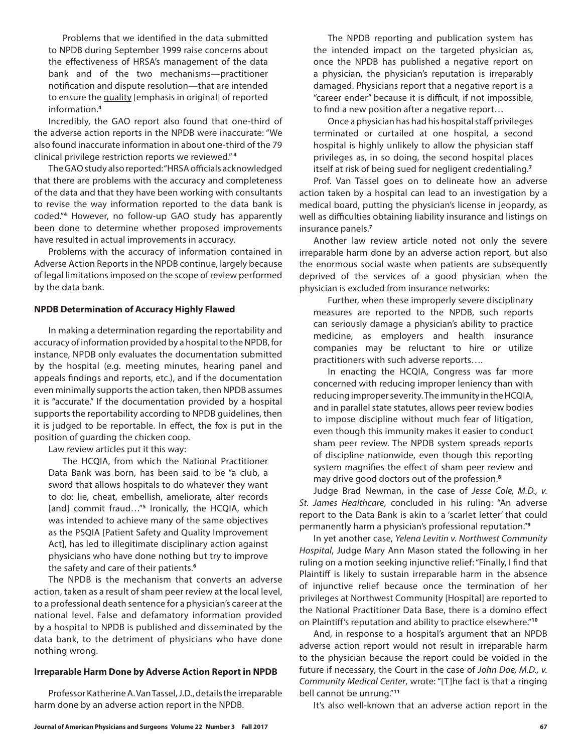Problems that we identified in the data submitted to NPDB during September 1999 raise concerns about the effectiveness of HRSA's management of the data bank and of the two mechanisms—practitioner notification and dispute resolution—that are intended to ensure the quality [emphasis in original] of reported information.**<sup>4</sup>**

Incredibly, the GAO report also found that one-third of the adverse action reports in the NPDB were inaccurate: "We also found inaccurate information in about one-third of the 79 clinical privilege restriction reports we reviewed." **<sup>4</sup>**

The GAO study also reported: "HRSA officials acknowledged that there are problems with the accuracy and completeness of the data and that they have been working with consultants to revise the way information reported to the data bank is coded."**<sup>4</sup>** However, no follow-up GAO study has apparently been done to determine whether proposed improvements have resulted in actual improvements in accuracy.

Problems with the accuracy of information contained in Adverse Action Reports in the NPDB continue, largely because of legal limitations imposed on the scope of review performed by the data bank.

#### **NPDB Determination of Accuracy Highly Flawed**

In making a determination regarding the reportability and accuracy of information provided by a hospital to the NPDB, for instance, NPDB only evaluates the documentation submitted by the hospital (e.g. meeting minutes, hearing panel and appeals findings and reports, etc.), and if the documentation even minimally supports the action taken, then NPDB assumes it is "accurate." If the documentation provided by a hospital supports the reportability according to NPDB guidelines, then it is judged to be reportable. In effect, the fox is put in the position of guarding the chicken coop.

Law review articles put it this way:

The HCQIA, from which the National Practitioner Data Bank was born, has been said to be "a club, a sword that allows hospitals to do whatever they want to do: lie, cheat, embellish, ameliorate, alter records [and] commit fraud…"**<sup>5</sup>** Ironically, the HCQIA, which was intended to achieve many of the same objectives as the PSQIA [Patient Safety and Quality Improvement Act], has led to illegitimate disciplinary action against physicians who have done nothing but try to improve the safety and care of their patients.**<sup>6</sup>**

The NPDB is the mechanism that converts an adverse action, taken as a result of sham peer review at the local level, to a professional death sentence for a physician's career at the national level. False and defamatory information provided by a hospital to NPDB is published and disseminated by the data bank, to the detriment of physicians who have done nothing wrong.

## **Irreparable Harm Done by Adverse Action Report in NPDB**

Professor Katherine A. Van Tassel, J.D., details the irreparable harm done by an adverse action report in the NPDB.

The NPDB reporting and publication system has the intended impact on the targeted physician as, once the NPDB has published a negative report on a physician, the physician's reputation is irreparably damaged. Physicians report that a negative report is a "career ender" because it is difficult, if not impossible, to find a new position after a negative report…

Once a physician has had his hospital staff privileges terminated or curtailed at one hospital, a second hospital is highly unlikely to allow the physician staff privileges as, in so doing, the second hospital places itself at risk of being sued for negligent credentialing.**<sup>7</sup>**

Prof. Van Tassel goes on to delineate how an adverse action taken by a hospital can lead to an investigation by a medical board, putting the physician's license in jeopardy, as well as difficulties obtaining liability insurance and listings on insurance panels.**<sup>7</sup>**

Another law review article noted not only the severe irreparable harm done by an adverse action report, but also the enormous social waste when patients are subsequently deprived of the services of a good physician when the physician is excluded from insurance networks:

Further, when these improperly severe disciplinary measures are reported to the NPDB, such reports can seriously damage a physician's ability to practice medicine, as employers and health insurance companies may be reluctant to hire or utilize practitioners with such adverse reports….

In enacting the HCQIA, Congress was far more concerned with reducing improper leniency than with reducing improper severity. The immunity in the HCQIA, and in parallel state statutes, allows peer review bodies to impose discipline without much fear of litigation, even though this immunity makes it easier to conduct sham peer review. The NPDB system spreads reports of discipline nationwide, even though this reporting system magnifies the effect of sham peer review and may drive good doctors out of the profession.**<sup>8</sup>**

Judge Brad Newman, in the case of *Jesse Cole, M.D., v. St. James Healthcare*, concluded in his ruling: "An adverse report to the Data Bank is akin to a 'scarlet letter' that could permanently harm a physician's professional reputation."**<sup>9</sup>**

In yet another case, *Yelena Levitin v. Northwest Community Hospital*, Judge Mary Ann Mason stated the following in her ruling on a motion seeking injunctive relief: "Finally, I find that Plaintiff is likely to sustain irreparable harm in the absence of injunctive relief because once the termination of her privileges at Northwest Community [Hospital] are reported to the National Practitioner Data Base, there is a domino effect on Plaintiff's reputation and ability to practice elsewhere."**<sup>10</sup>**

And, in response to a hospital's argument that an NPDB adverse action report would not result in irreparable harm to the physician because the report could be voided in the future if necessary, the Court in the case of *John Doe, M.D., v. Community Medical Center*, wrote: "[T]he fact is that a ringing bell cannot be unrung."**<sup>11</sup>**

It's also well-known that an adverse action report in the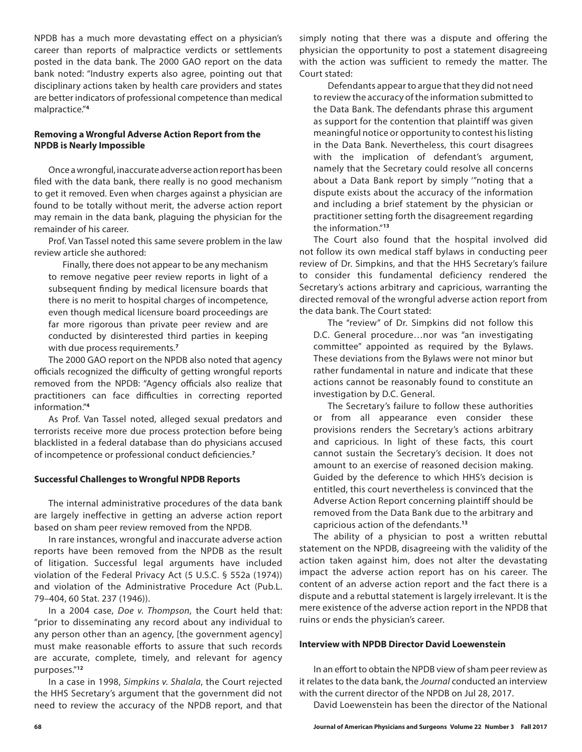NPDB has a much more devastating effect on a physician's career than reports of malpractice verdicts or settlements posted in the data bank. The 2000 GAO report on the data bank noted: "Industry experts also agree, pointing out that disciplinary actions taken by health care providers and states are better indicators of professional competence than medical malpractice."**<sup>4</sup>**

## **Removing a Wrongful Adverse Action Report from the NPDB is Nearly Impossible**

Once a wrongful, inaccurate adverse action report has been filed with the data bank, there really is no good mechanism to get it removed. Even when charges against a physician are found to be totally without merit, the adverse action report may remain in the data bank, plaguing the physician for the remainder of his career.

Prof. Van Tassel noted this same severe problem in the law review article she authored:

Finally, there does not appear to be any mechanism to remove negative peer review reports in light of a subsequent finding by medical licensure boards that there is no merit to hospital charges of incompetence, even though medical licensure board proceedings are far more rigorous than private peer review and are conducted by disinterested third parties in keeping with due process requirements.**<sup>7</sup>**

The 2000 GAO report on the NPDB also noted that agency officials recognized the difficulty of getting wrongful reports removed from the NPDB: "Agency officials also realize that practitioners can face difficulties in correcting reported information."**<sup>4</sup>**

As Prof. Van Tassel noted, alleged sexual predators and terrorists receive more due process protection before being blacklisted in a federal database than do physicians accused of incompetence or professional conduct deficiencies.**<sup>7</sup>**

### **Successful Challenges to Wrongful NPDB Reports**

The internal administrative procedures of the data bank are largely ineffective in getting an adverse action report based on sham peer review removed from the NPDB.

In rare instances, wrongful and inaccurate adverse action reports have been removed from the NPDB as the result of litigation. Successful legal arguments have included violation of the Federal Privacy Act (5 U.S.C. § 552a (1974)) and violation of the Administrative Procedure Act (Pub.L. 79–404, 60 Stat. 237 (1946)).

In a 2004 case, *Doe v. Thompson*, the Court held that: "prior to disseminating any record about any individual to any person other than an agency, [the government agency] must make reasonable efforts to assure that such records are accurate, complete, timely, and relevant for agency purposes."**<sup>12</sup>**

In a case in 1998, *Simpkins v. Shalala*, the Court rejected the HHS Secretary's argument that the government did not need to review the accuracy of the NPDB report, and that simply noting that there was a dispute and offering the physician the opportunity to post a statement disagreeing with the action was sufficient to remedy the matter. The Court stated:

Defendants appear to argue that they did not need to review the accuracy of the information submitted to the Data Bank. The defendants phrase this argument as support for the contention that plaintiff was given meaningful notice or opportunity to contest his listing in the Data Bank. Nevertheless, this court disagrees with the implication of defendant's argument, namely that the Secretary could resolve all concerns about a Data Bank report by simply '"noting that a dispute exists about the accuracy of the information and including a brief statement by the physician or practitioner setting forth the disagreement regarding the information."**<sup>13</sup>**

The Court also found that the hospital involved did not follow its own medical staff bylaws in conducting peer review of Dr. Simpkins, and that the HHS Secretary's failure to consider this fundamental deficiency rendered the Secretary's actions arbitrary and capricious, warranting the directed removal of the wrongful adverse action report from the data bank. The Court stated:

The "review" of Dr. Simpkins did not follow this D.C. General procedure…nor was "an investigating committee" appointed as required by the Bylaws. These deviations from the Bylaws were not minor but rather fundamental in nature and indicate that these actions cannot be reasonably found to constitute an investigation by D.C. General.

The Secretary's failure to follow these authorities or from all appearance even consider these provisions renders the Secretary's actions arbitrary and capricious. In light of these facts, this court cannot sustain the Secretary's decision. It does not amount to an exercise of reasoned decision making. Guided by the deference to which HHS's decision is entitled, this court nevertheless is convinced that the Adverse Action Report concerning plaintiff should be removed from the Data Bank due to the arbitrary and capricious action of the defendants.**<sup>13</sup>**

The ability of a physician to post a written rebuttal statement on the NPDB, disagreeing with the validity of the action taken against him, does not alter the devastating impact the adverse action report has on his career. The content of an adverse action report and the fact there is a dispute and a rebuttal statement is largely irrelevant. It is the mere existence of the adverse action report in the NPDB that ruins or ends the physician's career.

#### **Interview with NPDB Director David Loewenstein**

In an effort to obtain the NPDB view of sham peer review as it relates to the data bank, the *Journal* conducted an interview with the current director of the NPDB on Jul 28, 2017.

David Loewenstein has been the director of the National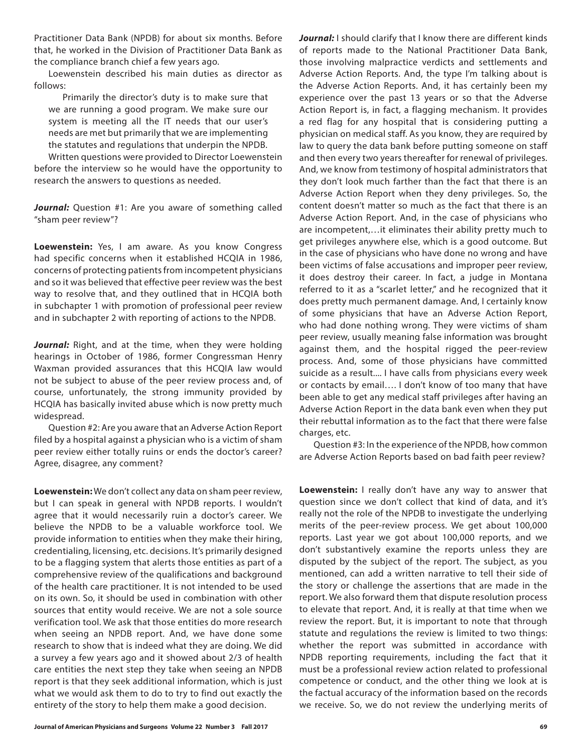Practitioner Data Bank (NPDB) for about six months. Before that, he worked in the Division of Practitioner Data Bank as the compliance branch chief a few years ago.

Loewenstein described his main duties as director as follows:

Primarily the director's duty is to make sure that we are running a good program. We make sure our system is meeting all the IT needs that our user's needs are met but primarily that we are implementing the statutes and regulations that underpin the NPDB.

Written questions were provided to Director Loewenstein before the interview so he would have the opportunity to research the answers to questions as needed.

Journal: Question #1: Are you aware of something called "sham peer review"?

**Loewenstein:** Yes, I am aware. As you know Congress had specific concerns when it established HCQIA in 1986, concerns of protecting patients from incompetent physicians and so it was believed that effective peer review was the best way to resolve that, and they outlined that in HCQIA both in subchapter 1 with promotion of professional peer review and in subchapter 2 with reporting of actions to the NPDB.

*Journal:* Right, and at the time, when they were holding hearings in October of 1986, former Congressman Henry Waxman provided assurances that this HCQIA law would not be subject to abuse of the peer review process and, of course, unfortunately, the strong immunity provided by HCQIA has basically invited abuse which is now pretty much widespread.

Question #2: Are you aware that an Adverse Action Report filed by a hospital against a physician who is a victim of sham peer review either totally ruins or ends the doctor's career? Agree, disagree, any comment?

**Loewenstein:** We don't collect any data on sham peer review, but I can speak in general with NPDB reports. I wouldn't agree that it would necessarily ruin a doctor's career. We believe the NPDB to be a valuable workforce tool. We provide information to entities when they make their hiring, credentialing, licensing, etc. decisions. It's primarily designed to be a flagging system that alerts those entities as part of a comprehensive review of the qualifications and background of the health care practitioner. It is not intended to be used on its own. So, it should be used in combination with other sources that entity would receive. We are not a sole source verification tool. We ask that those entities do more research when seeing an NPDB report. And, we have done some research to show that is indeed what they are doing. We did a survey a few years ago and it showed about 2/3 of health care entities the next step they take when seeing an NPDB report is that they seek additional information, which is just what we would ask them to do to try to find out exactly the entirety of the story to help them make a good decision.

Journal: I should clarify that I know there are different kinds of reports made to the National Practitioner Data Bank, those involving malpractice verdicts and settlements and Adverse Action Reports. And, the type I'm talking about is the Adverse Action Reports. And, it has certainly been my experience over the past 13 years or so that the Adverse Action Report is, in fact, a flagging mechanism. It provides a red flag for any hospital that is considering putting a physician on medical staff. As you know, they are required by law to query the data bank before putting someone on staff and then every two years thereafter for renewal of privileges. And, we know from testimony of hospital administrators that they don't look much farther than the fact that there is an Adverse Action Report when they deny privileges. So, the content doesn't matter so much as the fact that there is an Adverse Action Report. And, in the case of physicians who are incompetent,…it eliminates their ability pretty much to get privileges anywhere else, which is a good outcome. But in the case of physicians who have done no wrong and have been victims of false accusations and improper peer review, it does destroy their career. In fact, a judge in Montana referred to it as a "scarlet letter," and he recognized that it does pretty much permanent damage. And, I certainly know of some physicians that have an Adverse Action Report, who had done nothing wrong. They were victims of sham peer review, usually meaning false information was brought against them, and the hospital rigged the peer-review process. And, some of those physicians have committed suicide as a result.... I have calls from physicians every week or contacts by email…. I don't know of too many that have been able to get any medical staff privileges after having an Adverse Action Report in the data bank even when they put their rebuttal information as to the fact that there were false charges, etc.

Question #3: In the experience of the NPDB, how common are Adverse Action Reports based on bad faith peer review?

**Loewenstein:** I really don't have any way to answer that question since we don't collect that kind of data, and it's really not the role of the NPDB to investigate the underlying merits of the peer-review process. We get about 100,000 reports. Last year we got about 100,000 reports, and we don't substantively examine the reports unless they are disputed by the subject of the report. The subject, as you mentioned, can add a written narrative to tell their side of the story or challenge the assertions that are made in the report. We also forward them that dispute resolution process to elevate that report. And, it is really at that time when we review the report. But, it is important to note that through statute and regulations the review is limited to two things: whether the report was submitted in accordance with NPDB reporting requirements, including the fact that it must be a professional review action related to professional competence or conduct, and the other thing we look at is the factual accuracy of the information based on the records we receive. So, we do not review the underlying merits of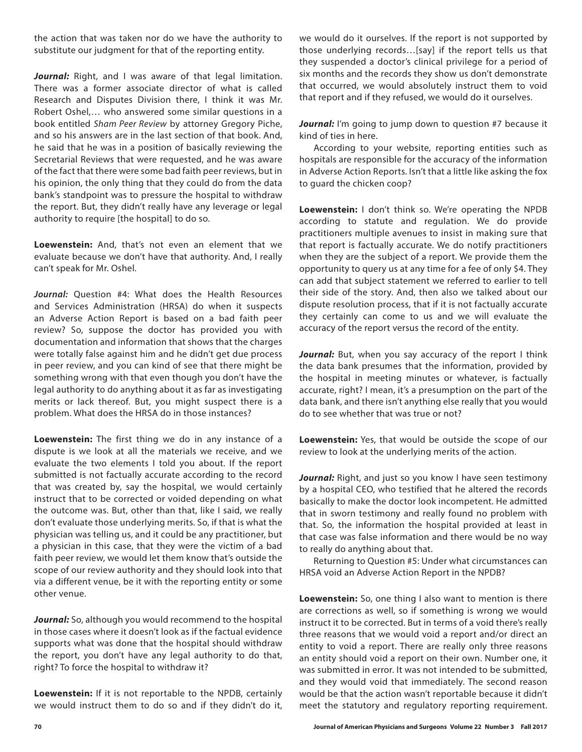the action that was taken nor do we have the authority to substitute our judgment for that of the reporting entity.

Journal: Right, and I was aware of that legal limitation. There was a former associate director of what is called Research and Disputes Division there, I think it was Mr. Robert Oshel,… who answered some similar questions in a book entitled *Sham Peer Review* by attorney Gregory Piche, and so his answers are in the last section of that book. And, he said that he was in a position of basically reviewing the Secretarial Reviews that were requested, and he was aware of the fact that there were some bad faith peer reviews, but in his opinion, the only thing that they could do from the data bank's standpoint was to pressure the hospital to withdraw the report. But, they didn't really have any leverage or legal authority to require [the hospital] to do so.

**Loewenstein:** And, that's not even an element that we evaluate because we don't have that authority. And, I really can't speak for Mr. Oshel.

Journal: Ouestion #4: What does the Health Resources and Services Administration (HRSA) do when it suspects an Adverse Action Report is based on a bad faith peer review? So, suppose the doctor has provided you with documentation and information that shows that the charges were totally false against him and he didn't get due process in peer review, and you can kind of see that there might be something wrong with that even though you don't have the legal authority to do anything about it as far as investigating merits or lack thereof. But, you might suspect there is a problem. What does the HRSA do in those instances?

**Loewenstein:** The first thing we do in any instance of a dispute is we look at all the materials we receive, and we evaluate the two elements I told you about. If the report submitted is not factually accurate according to the record that was created by, say the hospital, we would certainly instruct that to be corrected or voided depending on what the outcome was. But, other than that, like I said, we really don't evaluate those underlying merits. So, if that is what the physician was telling us, and it could be any practitioner, but a physician in this case, that they were the victim of a bad faith peer review, we would let them know that's outside the scope of our review authority and they should look into that via a different venue, be it with the reporting entity or some other venue.

*Journal:* So, although you would recommend to the hospital in those cases where it doesn't look as if the factual evidence supports what was done that the hospital should withdraw the report, you don't have any legal authority to do that, right? To force the hospital to withdraw it?

**Loewenstein:** If it is not reportable to the NPDB, certainly we would instruct them to do so and if they didn't do it,

we would do it ourselves. If the report is not supported by those underlying records…[say] if the report tells us that they suspended a doctor's clinical privilege for a period of six months and the records they show us don't demonstrate that occurred, we would absolutely instruct them to void that report and if they refused, we would do it ourselves.

Journal: I'm going to jump down to question #7 because it kind of ties in here.

According to your website, reporting entities such as hospitals are responsible for the accuracy of the information in Adverse Action Reports. Isn't that a little like asking the fox to guard the chicken coop?

**Loewenstein:** I don't think so. We're operating the NPDB according to statute and regulation. We do provide practitioners multiple avenues to insist in making sure that that report is factually accurate. We do notify practitioners when they are the subject of a report. We provide them the opportunity to query us at any time for a fee of only \$4. They can add that subject statement we referred to earlier to tell their side of the story. And, then also we talked about our dispute resolution process, that if it is not factually accurate they certainly can come to us and we will evaluate the accuracy of the report versus the record of the entity.

Journal: But, when you say accuracy of the report I think the data bank presumes that the information, provided by the hospital in meeting minutes or whatever, is factually accurate, right? I mean, it's a presumption on the part of the data bank, and there isn't anything else really that you would do to see whether that was true or not?

**Loewenstein:** Yes, that would be outside the scope of our review to look at the underlying merits of the action.

Journal: Right, and just so you know I have seen testimony by a hospital CEO, who testified that he altered the records basically to make the doctor look incompetent. He admitted that in sworn testimony and really found no problem with that. So, the information the hospital provided at least in that case was false information and there would be no way to really do anything about that.

Returning to Question #5: Under what circumstances can HRSA void an Adverse Action Report in the NPDB?

**Loewenstein:** So, one thing I also want to mention is there are corrections as well, so if something is wrong we would instruct it to be corrected. But in terms of a void there's really three reasons that we would void a report and/or direct an entity to void a report. There are really only three reasons an entity should void a report on their own. Number one, it was submitted in error. It was not intended to be submitted, and they would void that immediately. The second reason would be that the action wasn't reportable because it didn't meet the statutory and regulatory reporting requirement.